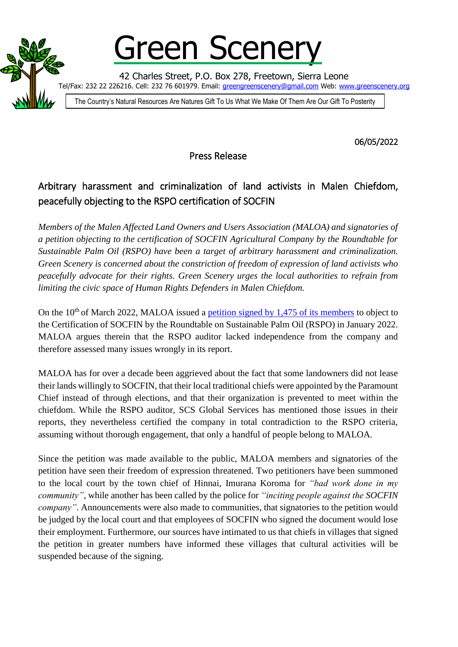

Green Scener

42 Charles Street, P.O. Box 278, Freetown, Sierra Leone Tel/Fax: 232 22 226216. Cell: 232 76 601979. Email: <u>greengreenscenery@gmail.com</u> Web: [www.greenscenery.org](http://www.greenscenery.org/)

The Country's Natural Resources Are Natures Gift To Us What We Make Of Them Are Our Gift To Posterity

06/05/2022

Press Release

## Arbitrary harassment and criminalization of land activists in Malen Chiefdom, peacefully objecting to the RSPO certification of SOCFIN

*Members of the Malen Affected Land Owners and Users Association (MALOA) and signatories of a petition objecting to the certification of SOCFIN Agricultural Company by the Roundtable for Sustainable Palm Oil (RSPO) have been a target of arbitrary harassment and criminalization. Green Scenery is concerned about the constriction of freedom of expression of land activists who peacefully advocate for their rights. Green Scenery urges the local authorities to refrain from limiting the civic space of Human Rights Defenders in Malen Chiefdom.*

On the  $10<sup>th</sup>$  of March 2022, MALOA issued a [petition signed by 1,475 of its members](http://greenscenery.org/wp-content/uploads/2022/04/220321-MALOA-RSPO-petition.pdf) to object to the Certification of SOCFIN by the Roundtable on Sustainable Palm Oil (RSPO) in January 2022. MALOA argues therein that the RSPO auditor lacked independence from the company and therefore assessed many issues wrongly in its report.

MALOA has for over a decade been aggrieved about the fact that some landowners did not lease their lands willingly to SOCFIN, that their local traditional chiefs were appointed by the Paramount Chief instead of through elections, and that their organization is prevented to meet within the chiefdom. While the RSPO auditor, SCS Global Services has mentioned those issues in their reports, they nevertheless certified the company in total contradiction to the RSPO criteria, assuming without thorough engagement, that only a handful of people belong to MALOA.

Since the petition was made available to the public, MALOA members and signatories of the petition have seen their freedom of expression threatened. Two petitioners have been summoned to the local court by the town chief of Hinnai, Imurana Koroma for *"bad work done in my community"*, while another has been called by the police for *"inciting people against the SOCFIN company*". Announcements were also made to communities, that signatories to the petition would be judged by the local court and that employees of SOCFIN who signed the document would lose their employment. Furthermore, our sources have intimated to us that chiefs in villages that signed the petition in greater numbers have informed these villages that cultural activities will be suspended because of the signing.